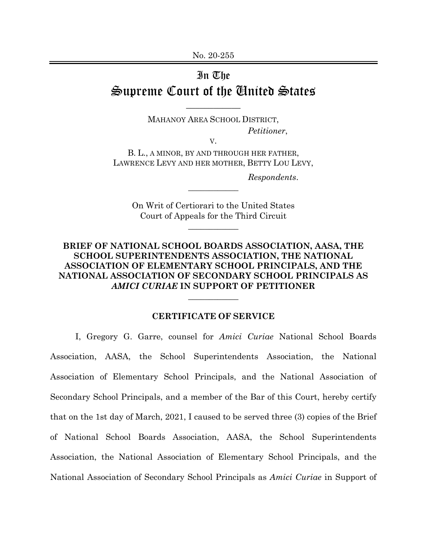## In The Supreme Court of the United States

MAHANOY AREA SCHOOL DISTRICT, *Petitioner*,

\_\_\_\_\_\_\_\_\_\_\_\_

V.

B. L., A MINOR, BY AND THROUGH HER FATHER, LAWRENCE LEVY AND HER MOTHER, BETTY LOU LEVY,

*Respondents*.

On Writ of Certiorari to the United States Court of Appeals for the Third Circuit

 $\overline{\phantom{a}}$  , where  $\overline{\phantom{a}}$ 

 $\overline{\phantom{a}}$  , where  $\overline{\phantom{a}}$ 

## **BRIEF OF NATIONAL SCHOOL BOARDS ASSOCIATION, AASA, THE SCHOOL SUPERINTENDENTS ASSOCIATION, THE NATIONAL ASSOCIATION OF ELEMENTARY SCHOOL PRINCIPALS, AND THE NATIONAL ASSOCIATION OF SECONDARY SCHOOL PRINCIPALS AS**  *AMICI CURIAE* **IN SUPPORT OF PETITIONER**

## **CERTIFICATE OF SERVICE**

 $\overline{\phantom{a}}$ 

I, Gregory G. Garre, counsel for *Amici Curiae* National School Boards Association, AASA, the School Superintendents Association, the National Association of Elementary School Principals, and the National Association of Secondary School Principals, and a member of the Bar of this Court, hereby certify that on the 1st day of March, 2021, I caused to be served three (3) copies of the Brief of National School Boards Association, AASA, the School Superintendents Association, the National Association of Elementary School Principals, and the National Association of Secondary School Principals as *Amici Curiae* in Support of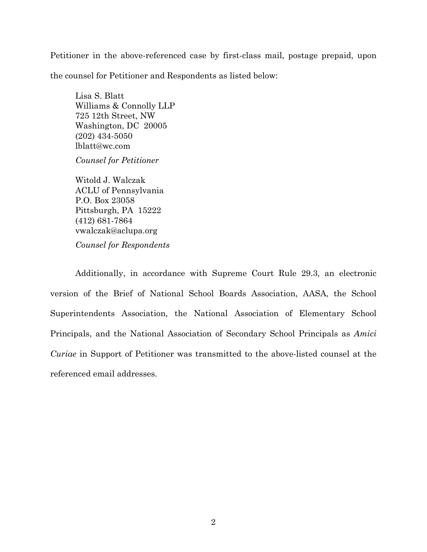Petitioner in the above-referenced case by first-class mail, postage prepaid, upon the counsel for Petitioner and Respondents as listed below:

Lisa S. Blatt Williams & Connolly LLP 725 12th Street, NW Washington, DC 20005 (202) 434-5050 lblatt@wc.com

*Counsel for Petitioner* 

Witold J. Walczak ACLU of Pennsylvania P.O. Box 23058 Pittsburgh, PA 15222 (412) 681-7864 vwalczak@aclupa.org *Counsel for Respondents* 

Additionally, in accordance with Supreme Court Rule 29.3, an electronic version of the Brief of National School Boards Association, AASA, the School Superintendents Association, the National Association of Elementary School Principals, and the National Association of Secondary School Principals as *Amici Curiae* in Support of Petitioner was transmitted to the above-listed counsel at the referenced email addresses.